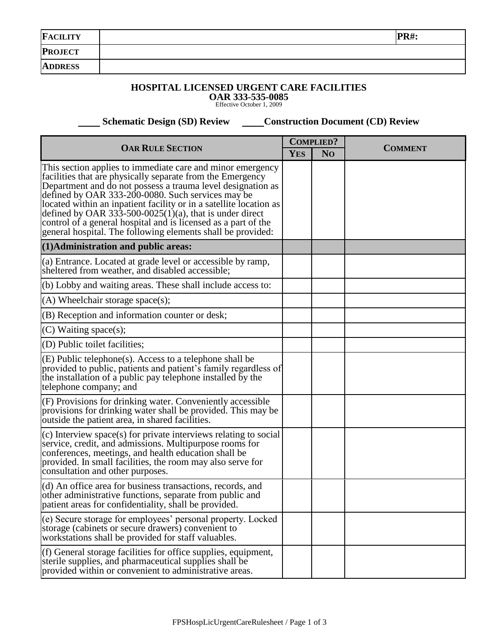| <b>FACILITY</b> | PR#: |
|-----------------|------|
| <b>PROJECT</b>  |      |
| <b>ADDRESS</b>  |      |
|                 |      |

## **HOSPITAL LICENSED URGENT CARE FACILITIES**

**OAR 333-535-0085** Effective October 1, 2009

 **Schematic Design (SD) Review Construction Document (CD) Review** 

| <b>OAR RULE SECTION</b>                                                                                                                                                                                                                                                                                                                                                                                                                                                                                        |  | <b>COMPLIED?</b> | <b>COMMENT</b> |
|----------------------------------------------------------------------------------------------------------------------------------------------------------------------------------------------------------------------------------------------------------------------------------------------------------------------------------------------------------------------------------------------------------------------------------------------------------------------------------------------------------------|--|------------------|----------------|
|                                                                                                                                                                                                                                                                                                                                                                                                                                                                                                                |  | N <sub>O</sub>   |                |
| This section applies to immediate care and minor emergency<br>facilities that are physically separate from the Emergency<br>Department and do not possess a trauma level designation as<br>defined by OAR 333-200-0080. Such services may be<br>located within an inpatient facility or in a satellite location as<br>defined by OAR 333-500-0025(1)(a), that is under direct<br>control of a general hospital and is licensed as a part of the<br>general hospital. The following elements shall be provided: |  |                  |                |
| (1) Administration and public areas:                                                                                                                                                                                                                                                                                                                                                                                                                                                                           |  |                  |                |
| (a) Entrance. Located at grade level or accessible by ramp,<br>sheltered from weather, and disabled accessible;                                                                                                                                                                                                                                                                                                                                                                                                |  |                  |                |
| (b) Lobby and waiting areas. These shall include access to:                                                                                                                                                                                                                                                                                                                                                                                                                                                    |  |                  |                |
| $(A)$ Wheelchair storage space(s);                                                                                                                                                                                                                                                                                                                                                                                                                                                                             |  |                  |                |
| (B) Reception and information counter or desk;                                                                                                                                                                                                                                                                                                                                                                                                                                                                 |  |                  |                |
| $(C)$ Waiting space(s);                                                                                                                                                                                                                                                                                                                                                                                                                                                                                        |  |                  |                |
| (D) Public toilet facilities;                                                                                                                                                                                                                                                                                                                                                                                                                                                                                  |  |                  |                |
| (E) Public telephone(s). Access to a telephone shall be<br>provided to public, patients and patient's family regardless of<br>the installation of a public pay telephone installed by the<br>telephone company; and                                                                                                                                                                                                                                                                                            |  |                  |                |
| (F) Provisions for drinking water. Conveniently accessible<br>provisions for drinking water shall be provided. This may be<br>outside the patient area, in shared facilities.                                                                                                                                                                                                                                                                                                                                  |  |                  |                |
| (c) Interview space(s) for private interviews relating to social<br>service, credit, and admissions. Multipurpose rooms for<br>conferences, meetings, and health education shall be<br>provided. In small facilities, the room may also serve for<br>consultation and other purposes.                                                                                                                                                                                                                          |  |                  |                |
| (d) An office area for business transactions, records, and<br>other administrative functions, separate from public and<br>patient areas for confidentiality, shall be provided.                                                                                                                                                                                                                                                                                                                                |  |                  |                |
| (e) Secure storage for employees' personal property. Locked<br>storage (cabinets or secure drawers) convenient to<br>workstations shall be provided for staff valuables.                                                                                                                                                                                                                                                                                                                                       |  |                  |                |
| (f) General storage facilities for office supplies, equipment,<br>sterile supplies, and pharmaceutical supplies shall be<br>provided within or convenient to administrative areas.                                                                                                                                                                                                                                                                                                                             |  |                  |                |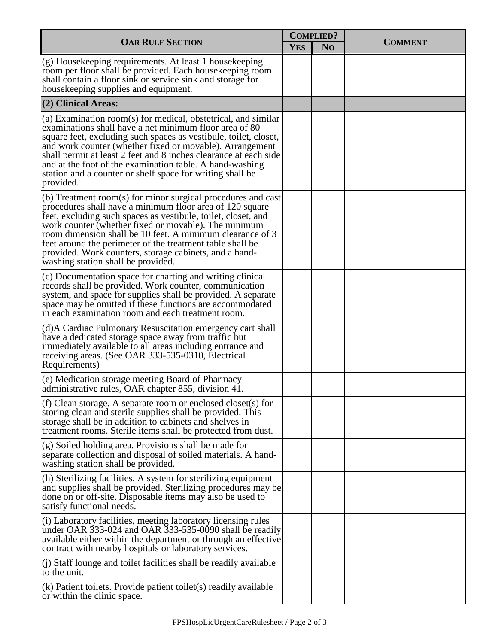| <b>OAR RULE SECTION</b>                                                                                                                                                                                                                                                                                                                                                                                                                                                     |  | <b>COMPLIED?</b> |                |
|-----------------------------------------------------------------------------------------------------------------------------------------------------------------------------------------------------------------------------------------------------------------------------------------------------------------------------------------------------------------------------------------------------------------------------------------------------------------------------|--|------------------|----------------|
|                                                                                                                                                                                                                                                                                                                                                                                                                                                                             |  | N <sub>O</sub>   | <b>COMMENT</b> |
| (g) Housekeeping requirements. At least 1 housekeeping<br>room per floor shall be provided. Each housekeeping room<br>shall contain a floor sink or service sink and storage for<br>housekeeping supplies and equipment.                                                                                                                                                                                                                                                    |  |                  |                |
| (2) Clinical Areas:                                                                                                                                                                                                                                                                                                                                                                                                                                                         |  |                  |                |
| (a) Examination room(s) for medical, obstetrical, and similar<br>examinations shall have a net minimum floor area of 80<br>square feet, excluding such spaces as vestibule, toilet, closet,<br>and work counter (whether fixed or movable). Arrangement<br>shall permit at least 2 feet and 8 inches clearance at each side<br>and at the foot of the examination table. A hand-washing<br>station and a counter or shelf space for writing shall be<br>provided.           |  |                  |                |
| (b) Treatment room(s) for minor surgical procedures and cast<br>procedures shall have a minimum floor area of 120 square<br>feet, excluding such spaces as vestibule, toilet, closet, and<br>work counter (whether fixed or movable). The minimum<br>room dimension shall be 10 feet. A minimum clearance of 3<br>feet around the perimeter of the treatment table shall be<br>provided. Work counters, storage cabinets, and a hand-<br>washing station shall be provided. |  |                  |                |
| (c) Documentation space for charting and writing clinical<br>records shall be provided. Work counter, communication<br>system, and space for supplies shall be provided. A separate<br>space may be omitted if these functions are accommodated<br>in each examination room and each treatment room.                                                                                                                                                                        |  |                  |                |
| (d) A Cardiac Pulmonary Resuscitation emergency cart shall<br>have a dedicated storage space away from traffic but<br>immediately available to all areas including entrance and<br>receiving areas. (See OAR 333-535-0310, Electrical<br>Requirements)                                                                                                                                                                                                                      |  |                  |                |
| (e) Medication storage meeting Board of Pharmacy<br>administrative rules, OAR chapter 855, division 41.                                                                                                                                                                                                                                                                                                                                                                     |  |                  |                |
| (f) Clean storage. A separate room or enclosed closet(s) for<br>storing clean and sterile supplies shall be provided. This<br>storage shall be in addition to cabinets and shelves in<br>treatment rooms. Sterile items shall be protected from dust.                                                                                                                                                                                                                       |  |                  |                |
| (g) Soiled holding area. Provisions shall be made for<br>separate collection and disposal of soiled materials. A hand-<br>washing station shall be provided.                                                                                                                                                                                                                                                                                                                |  |                  |                |
| (h) Sterilizing facilities. A system for sterilizing equipment<br>and supplies shall be provided. Sterilizing procedures may be<br>done on or off-site. Disposable items may also be used to<br>satisfy functional needs.                                                                                                                                                                                                                                                   |  |                  |                |
| (i) Laboratory facilities, meeting laboratory licensing rules<br>under OAR 333-024 and OAR 333-535-0090 shall be readily<br>available either within the department or through an effective<br>contract with nearby hospitals or laboratory services.                                                                                                                                                                                                                        |  |                  |                |
| $(i)$ Staff lounge and toilet facilities shall be readily available<br>to the unit.                                                                                                                                                                                                                                                                                                                                                                                         |  |                  |                |
| (k) Patient toilets. Provide patient toilet(s) readily available<br>or within the clinic space.                                                                                                                                                                                                                                                                                                                                                                             |  |                  |                |